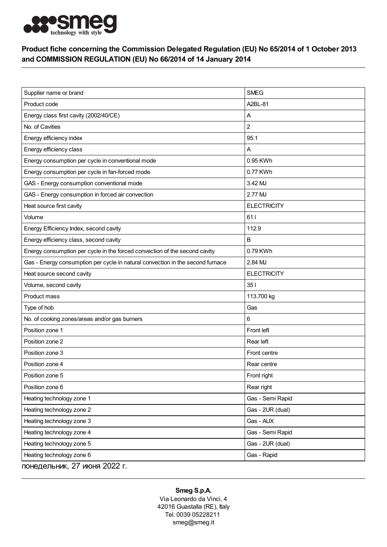

## Product fiche concerning the Commission Delegated Regulation (EU) No 65/2014 of 1 October 2013 and COMMISSION REGULATION (EU) No 66/2014 of 14 January 2014

| Supplier name or brand                                                         | <b>SMEG</b>        |
|--------------------------------------------------------------------------------|--------------------|
| Product code                                                                   | A2BL-81            |
| Energy class first cavity (2002/40/CE)                                         | Α                  |
| No. of Cavities                                                                | $\overline{c}$     |
| Energy efficiency index                                                        | 95.1               |
| Energy efficiency class                                                        | Α                  |
| Energy consumption per cycle in conventional mode                              | 0.95 KWh           |
| Energy consumption per cycle in fan-forced mode                                | 0.77 KWh           |
| GAS - Energy consumption conventional mode                                     | 3.42 MJ            |
| GAS - Energy consumption in forced air convection                              | 2.77 MJ            |
| Heat source first cavity                                                       | <b>ELECTRICITY</b> |
| Volume                                                                         | 611                |
| Energy Efficiency Index, second cavity                                         | 112.9              |
| Energy efficiency class, second cavity                                         | B                  |
| Energy consumption per cycle in the forced convection of the second cavity     | 0.79 KWh           |
| Gas - Energy consumption per cycle in natural convection in the second furnace | 2.84 MJ            |
| Heat source second cavity                                                      | <b>ELECTRICITY</b> |
| Volume, second cavity                                                          | 351                |
| Product mass                                                                   | 113.700 kg         |
| Type of hob                                                                    | Gas                |
| No. of cooking zones/areas and/or gas burners                                  | 6                  |
| Position zone 1                                                                | Front left         |
| Position zone 2                                                                | Rear left          |
| Position zone 3                                                                | Front centre       |
| Position zone 4                                                                | Rear centre        |
| Position zone 5                                                                | Front right        |
| Position zone 6                                                                | Rear right         |
| Heating technology zone 1                                                      | Gas - Semi Rapid   |
| Heating technology zone 2                                                      | Gas - 2UR (dual)   |
| Heating technology zone 3                                                      | Gas - AUX          |
| Heating technology zone 4                                                      | Gas - Semi Rapid   |
| Heating technology zone 5                                                      | Gas - 2UR (dual)   |
| Heating technology zone 6                                                      | Gas - Rapid        |
| понедельник, 27 июня 2022 г.                                                   |                    |

## Smeg S.p.A.

Via Leonardo da Vinci, 4 42016 Guastalla (RE), Italy Tel. 0039 05228211 smeg@smeg.it